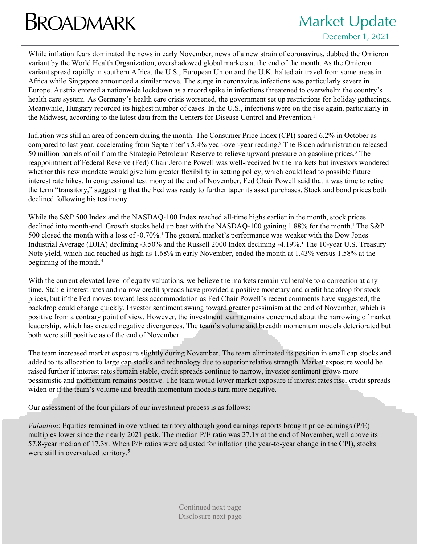## **BROADMARK** Market Update

## December 1, 2021

While inflation fears dominated the news in early November, news of a new strain of coronavirus, dubbed the Omicron variant by the World Health Organization, overshadowed global markets at the end of the month. As the Omicron variant spread rapidly in southern Africa, the U.S., European Union and the U.K. halted air travel from some areas in Africa while Singapore announced a similar move. The surge in coronavirus infections was particularly severe in Europe. Austria entered a nationwide lockdown as a record spike in infections threatened to overwhelm the country's health care system. As Germany's health care crisis worsened, the government set up restrictions for holiday gatherings. Meanwhile, Hungary recorded its highest number of cases. In the U.S., infections were on the rise again, particularly in the Midwest, according to the latest data from the Centers for Disease Control and Prevention.<sup>1</sup>

Inflation was still an area of concern during the month. The Consumer Price Index (CPI) soared 6.2% in October as compared to last year, accelerating from September's 5.4% year-over-year reading.² The Biden administration released 50 million barrels of oil from the Strategic Petroleum Reserve to relieve upward pressure on gasoline prices.<sup>3</sup> The reappointment of Federal Reserve (Fed) Chair Jerome Powell was well-received by the markets but investors wondered whether this new mandate would give him greater flexibility in setting policy, which could lead to possible future interest rate hikes. In congressional testimony at the end of November, Fed Chair Powell said that it was time to retire the term "transitory," suggesting that the Fed was ready to further taper its asset purchases. Stock and bond prices both declined following his testimony.

While the S&P 500 Index and the NASDAQ-100 Index reached all-time highs earlier in the month, stock prices declined into month-end. Growth stocks held up best with the NASDAQ-100 gaining 1.88% for the month.<sup>1</sup> The S&P 500 closed the month with a loss of  $-0.70\%$ . The general market's performance was weaker with the Dow Jones Industrial Average (DJIA) declining -3.50% and the Russell 2000 Index declining -4.19%.<sup>1</sup> The 10-year U.S. Treasury Note yield, which had reached as high as 1.68% in early November, ended the month at 1.43% versus 1.58% at the beginning of the month.4

With the current elevated level of equity valuations, we believe the markets remain vulnerable to a correction at any time. Stable interest rates and narrow credit spreads have provided a positive monetary and credit backdrop for stock prices, but if the Fed moves toward less accommodation as Fed Chair Powell's recent comments have suggested, the backdrop could change quickly. Investor sentiment swung toward greater pessimism at the end of November, which is positive from a contrary point of view. However, the investment team remains concerned about the narrowing of market leadership, which has created negative divergences. The team's volume and breadth momentum models deteriorated but both were still positive as of the end of November.

The team increased market exposure slightly during November. The team eliminated its position in small cap stocks and added to its allocation to large cap stocks and technology due to superior relative strength. Market exposure would be raised further if interest rates remain stable, credit spreads continue to narrow, investor sentiment grows more pessimistic and momentum remains positive. The team would lower market exposure if interest rates rise, credit spreads widen or if the team's volume and breadth momentum models turn more negative.

Our assessment of the four pillars of our investment process is as follows:

*Valuation*: Equities remained in overvalued territory although good earnings reports brought price-earnings (P/E) multiples lower since their early 2021 peak. The median P/E ratio was 27.1x at the end of November, well above its 57.8-year median of 17.3x. When P/E ratios were adjusted for inflation (the year-to-year change in the CPI), stocks were still in overvalued territory.<sup>5</sup>